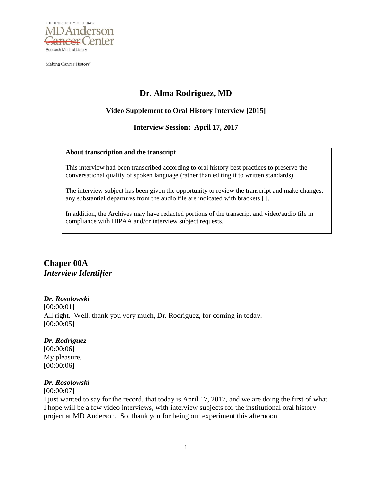

Making Cancer History®

# **Dr. Alma Rodriguez, MD**

### **Video Supplement to Oral History Interview [2015]**

### **Interview Session: April 17, 2017**

#### **About transcription and the transcript**

This interview had been transcribed according to oral history best practices to preserve the conversational quality of spoken language (rather than editing it to written standards).

The interview subject has been given the opportunity to review the transcript and make changes: any substantial departures from the audio file are indicated with brackets [ ].

In addition, the Archives may have redacted portions of the transcript and video/audio file in compliance with HIPAA and/or interview subject requests.

# **Chaper 00A** *Interview Identifier*

### *Dr. Rosolowski*

[00:00:01] All right. Well, thank you very much, Dr. Rodriguez, for coming in today. [00:00:05]

### *Dr. Rodriguez*

[00:00:06] My pleasure. [00:00:06]

### *Dr. Rosolowski*

#### [00:00:07]

I just wanted to say for the record, that today is April 17, 2017, and we are doing the first of what I hope will be a few video interviews, with interview subjects for the institutional oral history project at MD Anderson. So, thank you for being our experiment this afternoon.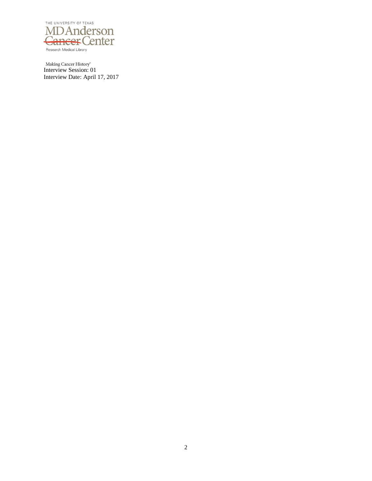

Interview Session: 01 Interview Date: April 17, 2017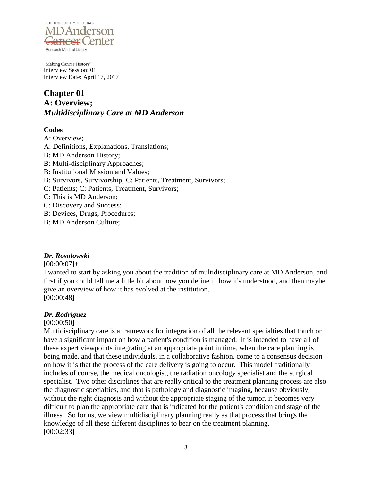

# **Chapter 01 A: Overview;** *Multidisciplinary Care at MD Anderson*

# **Codes**

A: Overview;

A: Definitions, Explanations, Translations;

- B: MD Anderson History;
- B: Multi-disciplinary Approaches;
- B: Institutional Mission and Values;
- B: Survivors, Survivorship; C: Patients, Treatment, Survivors;
- C: Patients; C: Patients, Treatment, Survivors;
- C: This is MD Anderson;
- C: Discovery and Success;
- B: Devices, Drugs, Procedures;
- B: MD Anderson Culture;

# *Dr. Rosolowski*

### $[00:00:07]+$

I wanted to start by asking you about the tradition of multidisciplinary care at MD Anderson, and first if you could tell me a little bit about how you define it, how it's understood, and then maybe give an overview of how it has evolved at the institution. [00:00:48]

# *Dr. Rodriguez*

# [00:00:50]

Multidisciplinary care is a framework for integration of all the relevant specialties that touch or have a significant impact on how a patient's condition is managed. It is intended to have all of these expert viewpoints integrating at an appropriate point in time, when the care planning is being made, and that these individuals, in a collaborative fashion, come to a consensus decision on how it is that the process of the care delivery is going to occur. This model traditionally includes of course, the medical oncologist, the radiation oncology specialist and the surgical specialist. Two other disciplines that are really critical to the treatment planning process are also the diagnostic specialties, and that is pathology and diagnostic imaging, because obviously, without the right diagnosis and without the appropriate staging of the tumor, it becomes very difficult to plan the appropriate care that is indicated for the patient's condition and stage of the illness. So for us, we view multidisciplinary planning really as that process that brings the knowledge of all these different disciplines to bear on the treatment planning. [00:02:33]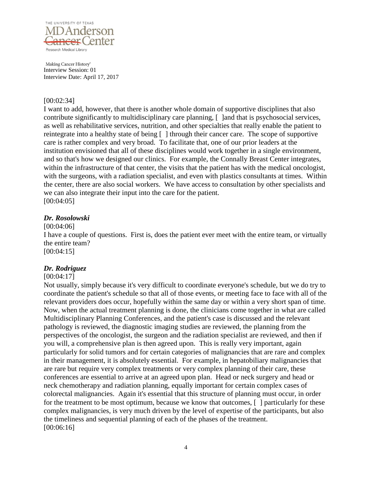

### [00:02:34]

I want to add, however, that there is another whole domain of supportive disciplines that also contribute significantly to multidisciplinary care planning,  $\lceil$  and that is psychosocial services, as well as rehabilitative services, nutrition, and other specialties that really enable the patient to reintegrate into a healthy state of being [ ] through their cancer care. The scope of supportive care is rather complex and very broad. To facilitate that, one of our prior leaders at the institution envisioned that all of these disciplines would work together in a single environment, and so that's how we designed our clinics. For example, the Connally Breast Center integrates, within the infrastructure of that center, the visits that the patient has with the medical oncologist, with the surgeons, with a radiation specialist, and even with plastics consultants at times. Within the center, there are also social workers. We have access to consultation by other specialists and we can also integrate their input into the care for the patient. [00:04:05]

### *Dr. Rosolowski*

### [00:04:06]

I have a couple of questions. First is, does the patient ever meet with the entire team, or virtually the entire team? [00:04:15]

### *Dr. Rodriguez*

### [00:04:17]

Not usually, simply because it's very difficult to coordinate everyone's schedule, but we do try to coordinate the patient's schedule so that all of those events, or meeting face to face with all of the relevant providers does occur, hopefully within the same day or within a very short span of time. Now, when the actual treatment planning is done, the clinicians come together in what are called Multidisciplinary Planning Conferences, and the patient's case is discussed and the relevant pathology is reviewed, the diagnostic imaging studies are reviewed, the planning from the perspectives of the oncologist, the surgeon and the radiation specialist are reviewed, and then if you will, a comprehensive plan is then agreed upon. This is really very important, again particularly for solid tumors and for certain categories of malignancies that are rare and complex in their management, it is absolutely essential. For example, in hepatobiliary malignancies that are rare but require very complex treatments or very complex planning of their care, these conferences are essential to arrive at an agreed upon plan. Head or neck surgery and head or neck chemotherapy and radiation planning, equally important for certain complex cases of colorectal malignancies. Again it's essential that this structure of planning must occur, in order for the treatment to be most optimum, because we know that outcomes,  $\lceil \cdot \rceil$  particularly for these complex malignancies, is very much driven by the level of expertise of the participants, but also the timeliness and sequential planning of each of the phases of the treatment. [00:06:16]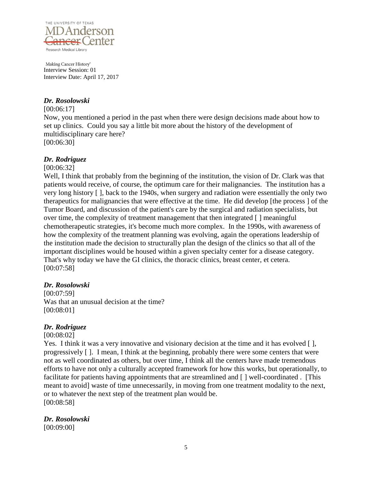

# *Dr. Rosolowski*

#### [00:06:17]

Now, you mentioned a period in the past when there were design decisions made about how to set up clinics. Could you say a little bit more about the history of the development of multidisciplinary care here? [00:06:30]

### *Dr. Rodriguez*

### [00:06:32]

Well, I think that probably from the beginning of the institution, the vision of Dr. Clark was that patients would receive, of course, the optimum care for their malignancies. The institution has a very long history [ ], back to the 1940s, when surgery and radiation were essentially the only two therapeutics for malignancies that were effective at the time. He did develop [the process ] of the Tumor Board, and discussion of the patient's care by the surgical and radiation specialists, but over time, the complexity of treatment management that then integrated [ ] meaningful chemotherapeutic strategies, it's become much more complex. In the 1990s, with awareness of how the complexity of the treatment planning was evolving, again the operations leadership of the institution made the decision to structurally plan the design of the clinics so that all of the important disciplines would be housed within a given specialty center for a disease category. That's why today we have the GI clinics, the thoracic clinics, breast center, et cetera. [00:07:58]

# *Dr. Rosolowski*

[00:07:59] Was that an unusual decision at the time? [00:08:01]

# *Dr. Rodriguez*

[00:08:02]

Yes. I think it was a very innovative and visionary decision at the time and it has evolved [ ], progressively [ ]. I mean, I think at the beginning, probably there were some centers that were not as well coordinated as others, but over time, I think all the centers have made tremendous efforts to have not only a culturally accepted framework for how this works, but operationally, to facilitate for patients having appointments that are streamlined and  $\lceil \cdot \rceil$  well-coordinated . [This meant to avoid] waste of time unnecessarily, in moving from one treatment modality to the next, or to whatever the next step of the treatment plan would be. [00:08:58]

*Dr. Rosolowski* [00:09:00]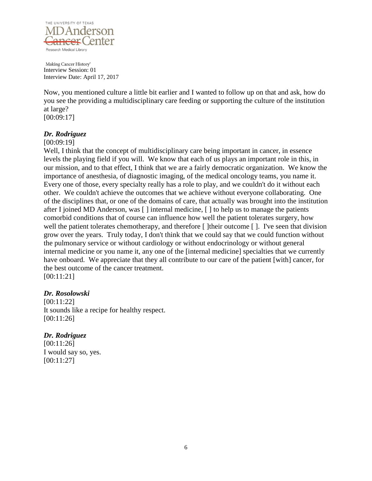

Now, you mentioned culture a little bit earlier and I wanted to follow up on that and ask, how do you see the providing a multidisciplinary care feeding or supporting the culture of the institution at large? [00:09:17]

# *Dr. Rodriguez*

### [00:09:19]

Well, I think that the concept of multidisciplinary care being important in cancer, in essence levels the playing field if you will. We know that each of us plays an important role in this, in our mission, and to that effect, I think that we are a fairly democratic organization. We know the importance of anesthesia, of diagnostic imaging, of the medical oncology teams, you name it. Every one of those, every specialty really has a role to play, and we couldn't do it without each other. We couldn't achieve the outcomes that we achieve without everyone collaborating. One of the disciplines that, or one of the domains of care, that actually was brought into the institution after I joined MD Anderson, was [ ] internal medicine, [ ] to help us to manage the patients comorbid conditions that of course can influence how well the patient tolerates surgery, how well the patient tolerates chemotherapy, and therefore [ ]their outcome [ ]. I've seen that division grow over the years. Truly today, I don't think that we could say that we could function without the pulmonary service or without cardiology or without endocrinology or without general internal medicine or you name it, any one of the [internal medicine] specialties that we currently have onboard. We appreciate that they all contribute to our care of the patient [with] cancer, for the best outcome of the cancer treatment. [00:11:21]

### *Dr. Rosolowski*

[00:11:22] It sounds like a recipe for healthy respect. [00:11:26]

### *Dr. Rodriguez*

[00:11:26] I would say so, yes. [00:11:27]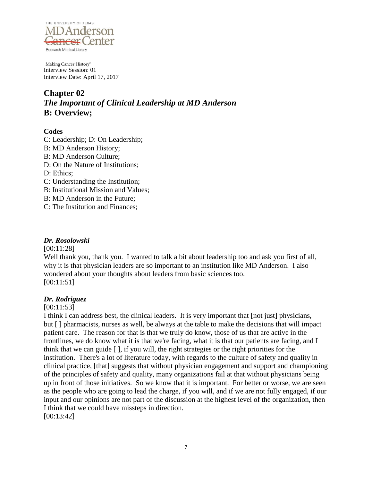

# **Chapter 02** *The Important of Clinical Leadership at MD Anderson* **B: Overview;**

### **Codes**

- C: Leadership; D: On Leadership;
- B: MD Anderson History;
- B: MD Anderson Culture;
- D: On the Nature of Institutions;
- D: Ethics;
- C: Understanding the Institution;
- B: Institutional Mission and Values;
- B: MD Anderson in the Future;
- C: The Institution and Finances;

### *Dr. Rosolowski*

#### [00:11:28]

Well thank you, thank you. I wanted to talk a bit about leadership too and ask you first of all, why it is that physician leaders are so important to an institution like MD Anderson. I also wondered about your thoughts about leaders from basic sciences too. [00:11:51]

### *Dr. Rodriguez*

### [00:11:53]

I think I can address best, the clinical leaders. It is very important that [not just] physicians, but [ ] pharmacists, nurses as well, be always at the table to make the decisions that will impact patient care. The reason for that is that we truly do know, those of us that are active in the frontlines, we do know what it is that we're facing, what it is that our patients are facing, and I think that we can guide [ ], if you will, the right strategies or the right priorities for the institution. There's a lot of literature today, with regards to the culture of safety and quality in clinical practice, [that] suggests that without physician engagement and support and championing of the principles of safety and quality, many organizations fail at that without physicians being up in front of those initiatives. So we know that it is important. For better or worse, we are seen as the people who are going to lead the charge, if you will, and if we are not fully engaged, if our input and our opinions are not part of the discussion at the highest level of the organization, then I think that we could have missteps in direction. [00:13:42]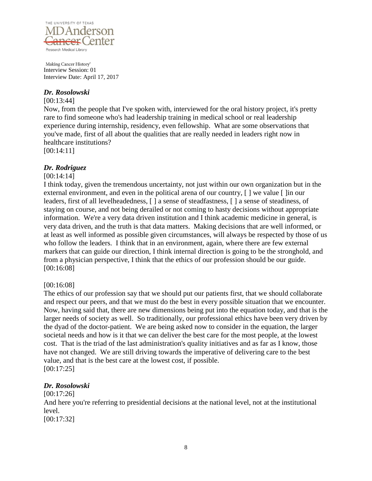

### *Dr. Rosolowski*

### [00:13:44]

Now, from the people that I've spoken with, interviewed for the oral history project, it's pretty rare to find someone who's had leadership training in medical school or real leadership experience during internship, residency, even fellowship. What are some observations that you've made, first of all about the qualities that are really needed in leaders right now in healthcare institutions?

[00:14:11]

### *Dr. Rodriguez*

### [00:14:14]

I think today, given the tremendous uncertainty, not just within our own organization but in the external environment, and even in the political arena of our country,  $\lceil \cdot \rceil$  we value  $\lceil \cdot \rceil$  in our leaders, first of all levelheadedness, [ ] a sense of steadfastness, [ ] a sense of steadiness, of staying on course, and not being derailed or not coming to hasty decisions without appropriate information. We're a very data driven institution and I think academic medicine in general, is very data driven, and the truth is that data matters. Making decisions that are well informed, or at least as well informed as possible given circumstances, will always be respected by those of us who follow the leaders. I think that in an environment, again, where there are few external markers that can guide our direction, I think internal direction is going to be the stronghold, and from a physician perspective, I think that the ethics of our profession should be our guide. [00:16:08]

### [00:16:08]

The ethics of our profession say that we should put our patients first, that we should collaborate and respect our peers, and that we must do the best in every possible situation that we encounter. Now, having said that, there are new dimensions being put into the equation today, and that is the larger needs of society as well. So traditionally, our professional ethics have been very driven by the dyad of the doctor-patient. We are being asked now to consider in the equation, the larger societal needs and how is it that we can deliver the best care for the most people, at the lowest cost. That is the triad of the last administration's quality initiatives and as far as I know, those have not changed. We are still driving towards the imperative of delivering care to the best value, and that is the best care at the lowest cost, if possible. [00:17:25]

### *Dr. Rosolowski*

[00:17:26] And here you're referring to presidential decisions at the national level, not at the institutional level. [00:17:32]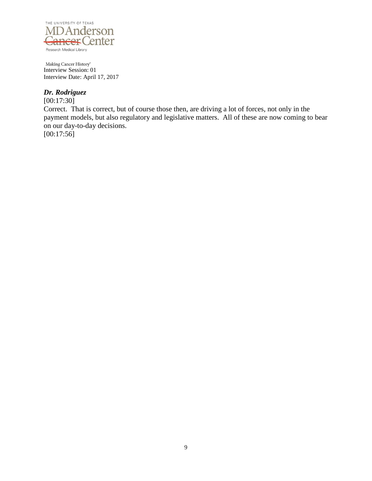

# *Dr. Rodriguez*

 $[00:17:30]$ Correct. That is correct, but of course those then, are driving a lot of forces, not only in the payment models, but also regulatory and legislative matters. All of these are now coming to bear on our day-to-day decisions.  $[00:17:56]$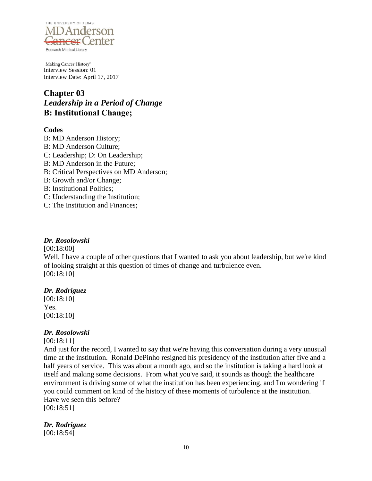

# **Chapter 03** *Leadership in a Period of Change* **B: Institutional Change;**

# **Codes**

B: MD Anderson History; B: MD Anderson Culture; C: Leadership; D: On Leadership; B: MD Anderson in the Future; B: Critical Perspectives on MD Anderson; B: Growth and/or Change; B: Institutional Politics; C: Understanding the Institution; C: The Institution and Finances;

# *Dr. Rosolowski*

### [00:18:00]

Well, I have a couple of other questions that I wanted to ask you about leadership, but we're kind of looking straight at this question of times of change and turbulence even. [00:18:10]

# *Dr. Rodriguez*

[00:18:10] Yes. [00:18:10]

# *Dr. Rosolowski*

# [00:18:11]

And just for the record, I wanted to say that we're having this conversation during a very unusual time at the institution. Ronald DePinho resigned his presidency of the institution after five and a half years of service. This was about a month ago, and so the institution is taking a hard look at itself and making some decisions. From what you've said, it sounds as though the healthcare environment is driving some of what the institution has been experiencing, and I'm wondering if you could comment on kind of the history of these moments of turbulence at the institution. Have we seen this before?

[00:18:51]

# *Dr. Rodriguez*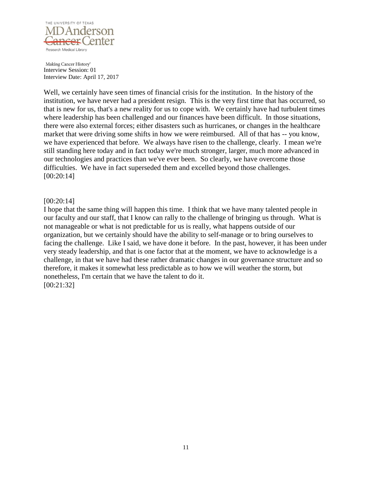

Well, we certainly have seen times of financial crisis for the institution. In the history of the institution, we have never had a president resign. This is the very first time that has occurred, so that is new for us, that's a new reality for us to cope with. We certainly have had turbulent times where leadership has been challenged and our finances have been difficult. In those situations, there were also external forces; either disasters such as hurricanes, or changes in the healthcare market that were driving some shifts in how we were reimbursed. All of that has -- you know, we have experienced that before. We always have risen to the challenge, clearly. I mean we're still standing here today and in fact today we're much stronger, larger, much more advanced in our technologies and practices than we've ever been. So clearly, we have overcome those difficulties. We have in fact superseded them and excelled beyond those challenges. [00:20:14]

### [00:20:14]

I hope that the same thing will happen this time. I think that we have many talented people in our faculty and our staff, that I know can rally to the challenge of bringing us through. What is not manageable or what is not predictable for us is really, what happens outside of our organization, but we certainly should have the ability to self-manage or to bring ourselves to facing the challenge. Like I said, we have done it before. In the past, however, it has been under very steady leadership, and that is one factor that at the moment, we have to acknowledge is a challenge, in that we have had these rather dramatic changes in our governance structure and so therefore, it makes it somewhat less predictable as to how we will weather the storm, but nonetheless, I'm certain that we have the talent to do it. [00:21:32]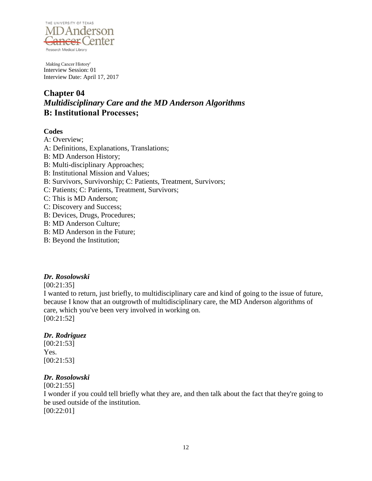

# **Chapter 04** *Multidisciplinary Care and the MD Anderson Algorithms* **B: Institutional Processes;**

### **Codes**

- A: Overview;
- A: Definitions, Explanations, Translations;
- B: MD Anderson History;
- B: Multi-disciplinary Approaches;
- B: Institutional Mission and Values;
- B: Survivors, Survivorship; C: Patients, Treatment, Survivors;
- C: Patients; C: Patients, Treatment, Survivors;
- C: This is MD Anderson;
- C: Discovery and Success;
- B: Devices, Drugs, Procedures;
- B: MD Anderson Culture;
- B: MD Anderson in the Future;
- B: Beyond the Institution;

# *Dr. Rosolowski*

[00:21:35]

I wanted to return, just briefly, to multidisciplinary care and kind of going to the issue of future, because I know that an outgrowth of multidisciplinary care, the MD Anderson algorithms of care, which you've been very involved in working on. [00:21:52]

# *Dr. Rodriguez*

[00:21:53] Yes. [00:21:53]

# *Dr. Rosolowski*

[00:21:55]

I wonder if you could tell briefly what they are, and then talk about the fact that they're going to be used outside of the institution.

[00:22:01]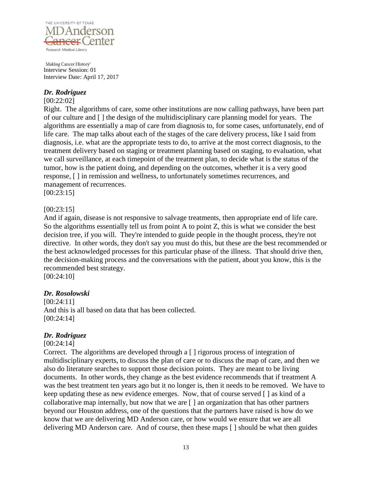

### *Dr. Rodriguez*

### [00:22:02]

Right. The algorithms of care, some other institutions are now calling pathways, have been part of our culture and [ ] the design of the multidisciplinary care planning model for years. The algorithms are essentially a map of care from diagnosis to, for some cases, unfortunately, end of life care. The map talks about each of the stages of the care delivery process, like I said from diagnosis, i.e. what are the appropriate tests to do, to arrive at the most correct diagnosis, to the treatment delivery based on staging or treatment planning based on staging, to evaluation, what we call surveillance, at each timepoint of the treatment plan, to decide what is the status of the tumor, how is the patient doing, and depending on the outcomes, whether it is a very good response, [ ] in remission and wellness, to unfortunately sometimes recurrences, and management of recurrences.

[00:23:15]

### [00:23:15]

And if again, disease is not responsive to salvage treatments, then appropriate end of life care. So the algorithms essentially tell us from point A to point Z, this is what we consider the best decision tree, if you will. They're intended to guide people in the thought process, they're not directive. In other words, they don't say you must do this, but these are the best recommended or the best acknowledged processes for this particular phase of the illness. That should drive then, the decision-making process and the conversations with the patient, about you know, this is the recommended best strategy.

[00:24:10]

# *Dr. Rosolowski*

[00:24:11] And this is all based on data that has been collected. [00:24:14]

### *Dr. Rodriguez*

[00:24:14]

Correct. The algorithms are developed through a [ ] rigorous process of integration of multidisciplinary experts, to discuss the plan of care or to discuss the map of care, and then we also do literature searches to support those decision points. They are meant to be living documents. In other words, they change as the best evidence recommends that if treatment A was the best treatment ten years ago but it no longer is, then it needs to be removed. We have to keep updating these as new evidence emerges. Now, that of course served [ ] as kind of a collaborative map internally, but now that we are [ ] an organization that has other partners beyond our Houston address, one of the questions that the partners have raised is how do we know that we are delivering MD Anderson care, or how would we ensure that we are all delivering MD Anderson care. And of course, then these maps [ ] should be what then guides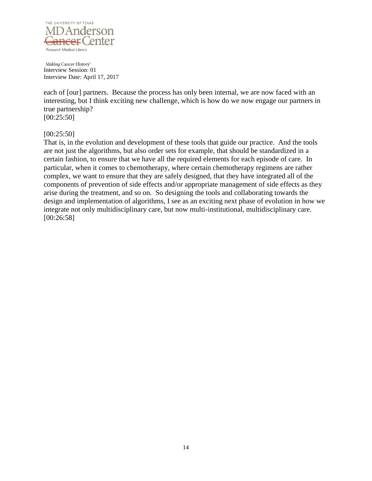

each of [our] partners. Because the process has only been internal, we are now faced with an interesting, but I think exciting new challenge, which is how do we now engage our partners in true partnership? [00:25:50]

### [00:25:50]

That is, in the evolution and development of these tools that guide our practice. And the tools are not just the algorithms, but also order sets for example, that should be standardized in a certain fashion, to ensure that we have all the required elements for each episode of care. In particular, when it comes to chemotherapy, where certain chemotherapy regimens are rather complex, we want to ensure that they are safely designed, that they have integrated all of the components of prevention of side effects and/or appropriate management of side effects as they arise during the treatment, and so on. So designing the tools and collaborating towards the design and implementation of algorithms, I see as an exciting next phase of evolution in how we integrate not only multidisciplinary care, but now multi-institutional, multidisciplinary care. [00:26:58]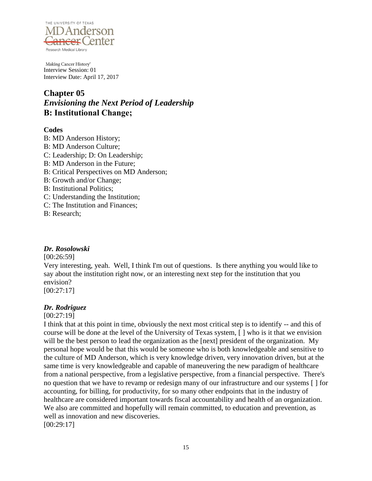

# **Chapter 05** *Envisioning the Next Period of Leadership* **B: Institutional Change;**

# **Codes**

B: MD Anderson History; B: MD Anderson Culture; C: Leadership; D: On Leadership; B: MD Anderson in the Future; B: Critical Perspectives on MD Anderson; B: Growth and/or Change; B: Institutional Politics; C: Understanding the Institution; C: The Institution and Finances; B: Research;

# *Dr. Rosolowski*

[00:26:59]

Very interesting, yeah. Well, I think I'm out of questions. Is there anything you would like to say about the institution right now, or an interesting next step for the institution that you envision?

[00:27:17]

# *Dr. Rodriguez*

[00:27:19]

I think that at this point in time, obviously the next most critical step is to identify -- and this of course will be done at the level of the University of Texas system, [ ] who is it that we envision will be the best person to lead the organization as the [next] president of the organization. My personal hope would be that this would be someone who is both knowledgeable and sensitive to the culture of MD Anderson, which is very knowledge driven, very innovation driven, but at the same time is very knowledgeable and capable of maneuvering the new paradigm of healthcare from a national perspective, from a legislative perspective, from a financial perspective. There's no question that we have to revamp or redesign many of our infrastructure and our systems [ ] for accounting, for billing, for productivity, for so many other endpoints that in the industry of healthcare are considered important towards fiscal accountability and health of an organization. We also are committed and hopefully will remain committed, to education and prevention, as well as innovation and new discoveries.

[00:29:17]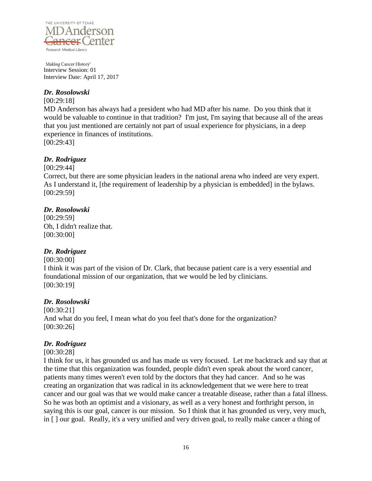

### *Dr. Rosolowski*

[00:29:18]

MD Anderson has always had a president who had MD after his name. Do you think that it would be valuable to continue in that tradition? I'm just, I'm saying that because all of the areas that you just mentioned are certainly not part of usual experience for physicians, in a deep experience in finances of institutions. [00:29:43]

### *Dr. Rodriguez*

[00:29:44]

Correct, but there are some physician leaders in the national arena who indeed are very expert. As I understand it, [the requirement of leadership by a physician is embedded] in the bylaws. [00:29:59]

# *Dr. Rosolowski*

[00:29:59] Oh, I didn't realize that. [00:30:00]

# *Dr. Rodriguez*

### [00:30:00]

I think it was part of the vision of Dr. Clark, that because patient care is a very essential and foundational mission of our organization, that we would be led by clinicians. [00:30:19]

### *Dr. Rosolowski*

[00:30:21] And what do you feel, I mean what do you feel that's done for the organization? [00:30:26]

# *Dr. Rodriguez*

### [00:30:28]

I think for us, it has grounded us and has made us very focused. Let me backtrack and say that at the time that this organization was founded, people didn't even speak about the word cancer, patients many times weren't even told by the doctors that they had cancer. And so he was creating an organization that was radical in its acknowledgement that we were here to treat cancer and our goal was that we would make cancer a treatable disease, rather than a fatal illness. So he was both an optimist and a visionary, as well as a very honest and forthright person, in saying this is our goal, cancer is our mission. So I think that it has grounded us very, very much, in [ ] our goal. Really, it's a very unified and very driven goal, to really make cancer a thing of